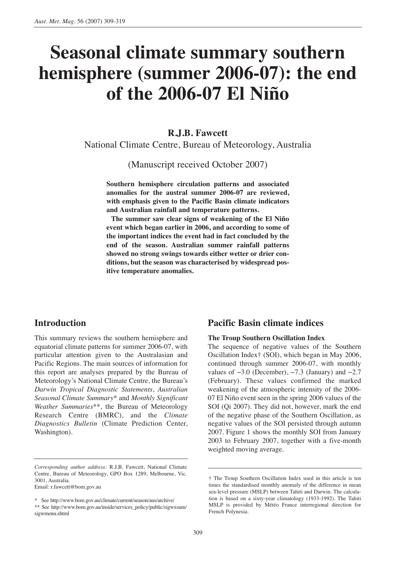# **Seasonal climate summary southern hemisphere (summer 2006-07): the end of the 2006-07 El Niño**

**R.J.B. Fawcett** National Climate Centre, Bureau of Meteorology, Australia

(Manuscript received October 2007)

**Southern hemisphere circulation patterns and associated anomalies for the austral summer 2006-07 are reviewed, with emphasis given to the Pacific Basin climate indicators and Australian rainfall and temperature patterns.**

**The summer saw clear signs of weakening of the El Niño event which began earlier in 2006, and according to some of the important indices the event had in fact concluded by the end of the season. Australian summer rainfall patterns showed no strong swings towards either wetter or drier conditions, but the season was characterised by widespread positive temperature anomalies.**

# **Introduction**

This summary reviews the southern hemisphere and equatorial climate patterns for summer 2006-07, with particular attention given to the Australasian and Pacific Regions. The main sources of information for this report are analyses prepared by the Bureau of Meteorology's National Climate Centre, the Bureau's *Darwin Tropical Diagnostic Statements*, *Australian Seasonal Climate Summary*\* and *Monthly Significant Weather Summaries*\*\*, the Bureau of Meteorology Research Centre (BMRC), and the *Climate Diagnostics Bulletin* (Climate Prediction Center, Washington).

Email: r.fawcett@bom.gov.au

\* See http://www.bom.gov.au/climate/current/season/aus/archive/

# **Pacific Basin climate indices**

#### **The Troup Southern Oscillation Index**

The sequence of negative values of the Southern Oscillation Index† (SOI), which began in May 2006, continued through summer 2006-07, with monthly values of  $-3.0$  (December),  $-7.3$  (January) and  $-2.7$ (February). These values confirmed the marked weakening of the atmospheric intensity of the 2006- 07 El Niño event seen in the spring 2006 values of the SOI (Qi 2007). They did not, however, mark the end of the negative phase of the Southern Oscillation, as negative values of the SOI persisted through autumn 2007. Figure 1 shows the monthly SOI from January 2003 to February 2007, together with a five-month weighted moving average.

*Corresponding author address:* R.J.B. Fawcett, National Climate Centre, Bureau of Meteorology, GPO Box 1289, Melbourne, Vic. 3001, Australia.

<sup>\*\*</sup> See http://www.bom.gov.au/inside/services\_policy/public/sigwxsum/ sigwmenu.shtml

<sup>†</sup> The Troup Southern Oscillation Index used in this article is ten times the standardised monthly anomaly of the difference in mean sea-level pressure (MSLP) between Tahiti and Darwin. The calculation is based on a sixty-year climatology (1933-1992). The Tahiti MSLP is provided by Météo France interregional direction for French Polynesia.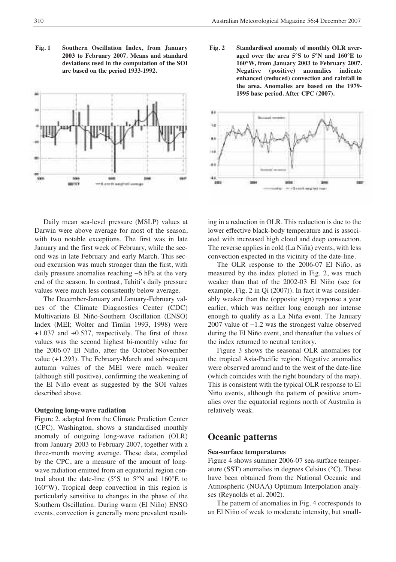**Fig. 1 Southern Oscillation Index, from January 2003 to February 2007. Means and standard deviations used in the computation of the SOI are based on the period 1933-1992.**



**Fig. 2 Standardised anomaly of monthly OLR averaged over the area 5°S to 5°N and 160°E to 160°W, from January 2003 to February 2007. Negative (positive) anomalies indicate enhanced (reduced) convection and rainfall in the area. Anomalies are based on the 1979- 1995 base period. After CPC (2007).**



Daily mean sea-level pressure (MSLP) values at Darwin were above average for most of the season, with two notable exceptions. The first was in late January and the first week of February, while the second was in late February and early March. This second excursion was much stronger than the first, with daily pressure anomalies reaching −6 hPa at the very end of the season. In contrast, Tahiti's daily pressure values were much less consistently below average.

The December-January and January-February values of the Climate Diagnostics Center (CDC) Multivariate El Niño-Southern Oscillation (ENSO) Index (MEI; Wolter and Timlin 1993, 1998) were +1.037 and +0.537, respectively. The first of these values was the second highest bi-monthly value for the 2006-07 El Niño, after the October-November value (+1.293). The February-March and subsequent autumn values of the MEI were much weaker (although still positive), confirming the weakening of the El Niño event as suggested by the SOI values described above.

#### **Outgoing long-wave radiation**

Figure 2, adapted from the Climate Prediction Center (CPC), Washington, shows a standardised monthly anomaly of outgoing long-wave radiation (OLR) from January 2003 to February 2007, together with a three-month moving average. These data, compiled by the CPC, are a measure of the amount of longwave radiation emitted from an equatorial region centred about the date-line (5°S to 5°N and 160°E to 160°W). Tropical deep convection in this region is particularly sensitive to changes in the phase of the Southern Oscillation. During warm (El Niño) ENSO events, convection is generally more prevalent resulting in a reduction in OLR. This reduction is due to the lower effective black-body temperature and is associated with increased high cloud and deep convection. The reverse applies in cold (La Niña) events, with less convection expected in the vicinity of the date-line.

The OLR response to the 2006-07 El Niño, as measured by the index plotted in Fig. 2, was much weaker than that of the 2002-03 El Niño (see for example, Fig. 2 in Qi (2007)). In fact it was considerably weaker than the (opposite sign) response a year earlier, which was neither long enough nor intense enough to qualify as a La Niña event. The January 2007 value of −1.2 was the strongest value observed during the El Niño event, and thereafter the values of the index returned to neutral territory.

Figure 3 shows the seasonal OLR anomalies for the tropical Asia-Pacific region. Negative anomalies were observed around and to the west of the date-line (which coincides with the right boundary of the map). This is consistent with the typical OLR response to El Niño events, although the pattern of positive anomalies over the equatorial regions north of Australia is relatively weak.

## **Oceanic patterns**

#### **Sea-surface temperatures**

Figure 4 shows summer 2006-07 sea-surface temperature (SST) anomalies in degrees Celsius (°C). These have been obtained from the National Oceanic and Atmospheric (NOAA) Optimum Interpolation analyses (Reynolds et al. 2002).

The pattern of anomalies in Fig. 4 corresponds to an El Niño of weak to moderate intensity, but small-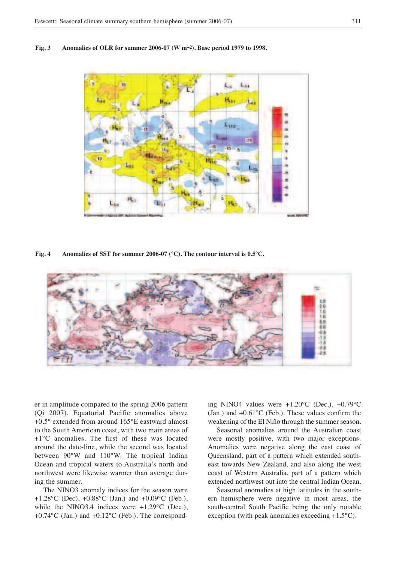



**Fig. 4 Anomalies of SST for summer 2006-07 (°C). The contour interval is 0.5°C.**



er in amplitude compared to the spring 2006 pattern (Qi 2007). Equatorial Pacific anomalies above +0.5° extended from around 165°E eastward almost to the South American coast, with two main areas of +1°C anomalies. The first of these was located around the date-line, while the second was located between 90°W and 110°W. The tropical Indian Ocean and tropical waters to Australia's north and northwest were likewise warmer than average during the summer.

The NINO3 anomaly indices for the season were +1.28°C (Dec), +0.88°C (Jan.) and +0.09°C (Feb.), while the NINO3.4 indices were  $+1.29^{\circ}$ C (Dec.), +0.74°C (Jan.) and +0.12°C (Feb.). The corresponding NINO4 values were +1.20°C (Dec.), +0.79°C (Jan.) and +0.61°C (Feb.). These values confirm the weakening of the El Niño through the summer season.

Seasonal anomalies around the Australian coast were mostly positive, with two major exceptions. Anomalies were negative along the east coast of Queensland, part of a pattern which extended southeast towards New Zealand, and also along the west coast of Western Australia, part of a pattern which extended northwest out into the central Indian Ocean.

Seasonal anomalies at high latitudes in the southern hemisphere were negative in most areas, the south-central South Pacific being the only notable exception (with peak anomalies exceeding +1.5°C).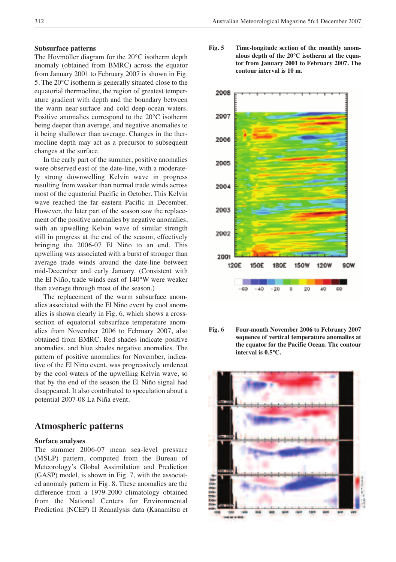#### **Subsurface patterns**

The Hovmöller diagram for the 20°C isotherm depth anomaly (obtained from BMRC) across the equator from January 2001 to February 2007 is shown in Fig. 5. The 20°C isotherm is generally situated close to the equatorial thermocline, the region of greatest temperature gradient with depth and the boundary between the warm near-surface and cold deep-ocean waters. Positive anomalies correspond to the 20°C isotherm being deeper than average, and negative anomalies to it being shallower than average. Changes in the thermocline depth may act as a precursor to subsequent changes at the surface.

In the early part of the summer, positive anomalies were observed east of the date-line, with a moderately strong downwelling Kelvin wave in progress resulting from weaker than normal trade winds across most of the equatorial Pacific in October. This Kelvin wave reached the far eastern Pacific in December. However, the later part of the season saw the replacement of the positive anomalies by negative anomalies, with an upwelling Kelvin wave of similar strength still in progress at the end of the season, effectively bringing the 2006-07 El Niño to an end. This upwelling was associated with a burst of stronger than average trade winds around the date-line between mid-December and early January. (Consistent with the El Niño, trade winds east of 140°W were weaker than average through most of the season.)

The replacement of the warm subsurface anomalies associated with the El Niño event by cool anomalies is shown clearly in Fig. 6, which shows a crosssection of equatorial subsurface temperature anomalies from November 2006 to February 2007, also obtained from BMRC. Red shades indicate positive anomalies, and blue shades negative anomalies. The pattern of positive anomalies for November, indicative of the El Niño event, was progressively undercut by the cool waters of the upwelling Kelvin wave, so that by the end of the season the El Niño signal had disappeared. It also contributed to speculation about a potential 2007-08 La Niña event.

# **Atmospheric patterns**

#### **Surface analyses**

The summer 2006-07 mean sea-level pressure (MSLP) pattern, computed from the Bureau of Meteorology's Global Assimilation and Prediction (GASP) model, is shown in Fig. 7, with the associated anomaly pattern in Fig. 8. These anomalies are the difference from a 1979-2000 climatology obtained from the National Centers for Environmental Prediction (NCEP) II Reanalysis data (Kanamitsu et

**Fig. 5 Time-longitude section of the monthly anomalous depth of the 20°C isotherm at the equator from January 2001 to February 2007. The contour interval is 10 m.**



**Fig. 6 Four-month November 2006 to February 2007 sequence of vertical temperature anomalies at the equator for the Pacific Ocean. The contour interval is 0.5°C.**

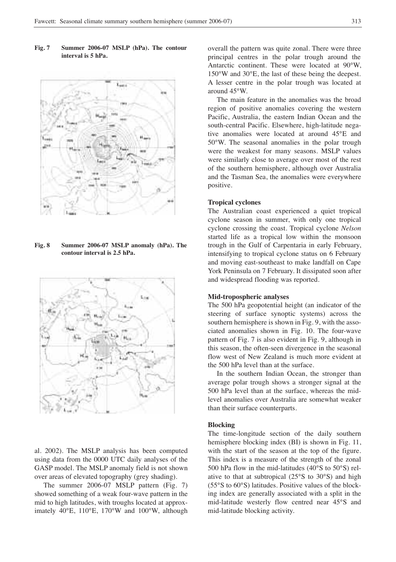**Fig. 7 Summer 2006-07 MSLP (hPa). The contour interval is 5 hPa.**



**Fig. 8 Summer 2006-07 MSLP anomaly (hPa). The contour interval is 2.5 hPa.**



al. 2002). The MSLP analysis has been computed using data from the 0000 UTC daily analyses of the GASP model. The MSLP anomaly field is not shown over areas of elevated topography (grey shading).

The summer 2006-07 MSLP pattern (Fig. 7) showed something of a weak four-wave pattern in the mid to high latitudes, with troughs located at approximately 40°E, 110°E, 170°W and 100°W, although

overall the pattern was quite zonal. There were three principal centres in the polar trough around the Antarctic continent. These were located at 90°W, 150°W and 30°E, the last of these being the deepest. A lesser centre in the polar trough was located at around 45°W.

The main feature in the anomalies was the broad region of positive anomalies covering the western Pacific, Australia, the eastern Indian Ocean and the south-central Pacific. Elsewhere, high-latitude negative anomalies were located at around 45°E and 50°W. The seasonal anomalies in the polar trough were the weakest for many seasons. MSLP values were similarly close to average over most of the rest of the southern hemisphere, although over Australia and the Tasman Sea, the anomalies were everywhere positive.

### **Tropical cyclones**

The Australian coast experienced a quiet tropical cyclone season in summer, with only one tropical cyclone crossing the coast. Tropical cyclone *Nelson* started life as a tropical low within the monsoon trough in the Gulf of Carpentaria in early February, intensifying to tropical cyclone status on 6 February and moving east-southeast to make landfall on Cape York Peninsula on 7 February. It dissipated soon after and widespread flooding was reported.

#### **Mid-tropospheric analyses**

The 500 hPa geopotential height (an indicator of the steering of surface synoptic systems) across the southern hemisphere is shown in Fig. 9, with the associated anomalies shown in Fig. 10. The four-wave pattern of Fig. 7 is also evident in Fig. 9, although in this season, the often-seen divergence in the seasonal flow west of New Zealand is much more evident at the 500 hPa level than at the surface.

In the southern Indian Ocean, the stronger than average polar trough shows a stronger signal at the 500 hPa level than at the surface, whereas the midlevel anomalies over Australia are somewhat weaker than their surface counterparts.

#### **Blocking**

The time-longitude section of the daily southern hemisphere blocking index (BI) is shown in Fig. 11, with the start of the season at the top of the figure. This index is a measure of the strength of the zonal 500 hPa flow in the mid-latitudes (40°S to 50°S) relative to that at subtropical (25°S to 30°S) and high (55°S to 60°S) latitudes. Positive values of the blocking index are generally associated with a split in the mid-latitude westerly flow centred near 45°S and mid-latitude blocking activity.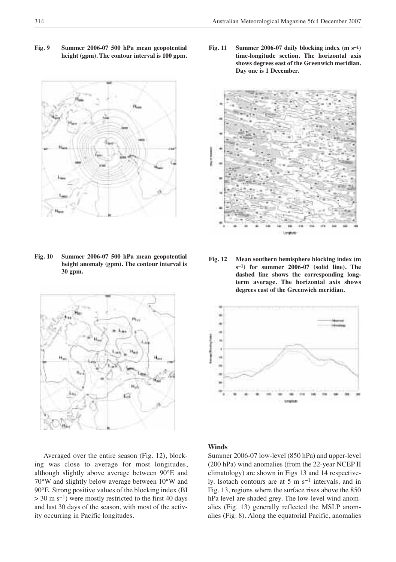**Fig. 9 Summer 2006-07 500 hPa mean geopotential height (gpm). The contour interval is 100 gpm.**



**Fig. 10 Summer 2006-07 500 hPa mean geopotential height anomaly (gpm). The contour interval is 30 gpm.**



Averaged over the entire season (Fig. 12), blocking was close to average for most longitudes, although slightly above average between 90°E and 70°W and slightly below average between 10°W and 90°E. Strong positive values of the blocking index (BI > 30 m s<sup>-1</sup>) were mostly restricted to the first 40 days and last 30 days of the season, with most of the activity occurring in Pacific longitudes.

**Fig. 11 Summer 2006-07 daily blocking index (m s−1) time-longitude section. The horizontal axis shows degrees east of the Greenwich meridian. Day one is 1 December.**



**Fig. 12 Mean southern hemisphere blocking index (m s−1) for summer 2006-07 (solid line). The dashed line shows the corresponding longterm average. The horizontal axis shows degrees east of the Greenwich meridian.**



## **Winds**

Summer 2006-07 low-level (850 hPa) and upper-level (200 hPa) wind anomalies (from the 22-year NCEP II climatology) are shown in Figs 13 and 14 respectively. Isotach contours are at 5 m s−1 intervals, and in Fig. 13, regions where the surface rises above the 850 hPa level are shaded grey. The low-level wind anomalies (Fig. 13) generally reflected the MSLP anomalies (Fig. 8). Along the equatorial Pacific, anomalies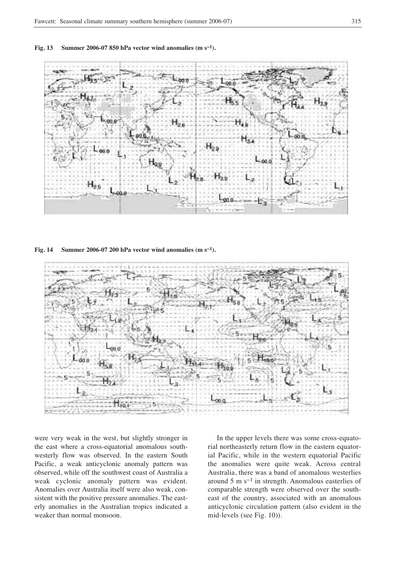



**Fig. 14 Summer 2006-07 200 hPa vector wind anomalies (m s−1).**



were very weak in the west, but slightly stronger in the east where a cross-equatorial anomalous southwesterly flow was observed. In the eastern South Pacific, a weak anticyclonic anomaly pattern was observed, while off the southwest coast of Australia a weak cyclonic anomaly pattern was evident. Anomalies over Australia itself were also weak, consistent with the positive pressure anomalies. The easterly anomalies in the Australian tropics indicated a weaker than normal monsoon.

In the upper levels there was some cross-equatorial northeasterly return flow in the eastern equatorial Pacific, while in the western equatorial Pacific the anomalies were quite weak. Across central Australia, there was a band of anomalous westerlies around 5 m s−1 in strength. Anomalous easterlies of comparable strength were observed over the southeast of the country, associated with an anomalous anticyclonic circulation pattern (also evident in the mid-levels (see Fig. 10)).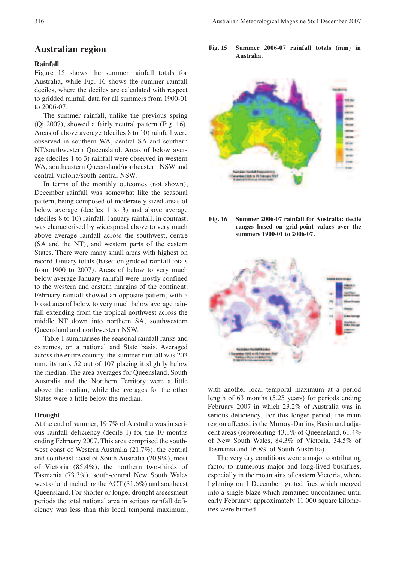## **Australian region**

## **Rainfall**

Figure 15 shows the summer rainfall totals for Australia, while Fig. 16 shows the summer rainfall deciles, where the deciles are calculated with respect to gridded rainfall data for all summers from 1900-01 to 2006-07.

The summer rainfall, unlike the previous spring (Qi 2007), showed a fairly neutral pattern (Fig. 16). Areas of above average (deciles 8 to 10) rainfall were observed in southern WA, central SA and southern NT/southwestern Queensland. Areas of below average (deciles 1 to 3) rainfall were observed in western WA, southeastern Queensland/northeastern NSW and central Victoria/south-central NSW.

In terms of the monthly outcomes (not shown), December rainfall was somewhat like the seasonal pattern, being composed of moderately sized areas of below average (deciles 1 to 3) and above average (deciles 8 to 10) rainfall. January rainfall, in contrast, was characterised by widespread above to very much above average rainfall across the southwest, centre (SA and the NT), and western parts of the eastern States. There were many small areas with highest on record January totals (based on gridded rainfall totals from 1900 to 2007). Areas of below to very much below average January rainfall were mostly confined to the western and eastern margins of the continent. February rainfall showed an opposite pattern, with a broad area of below to very much below average rainfall extending from the tropical northwest across the middle NT down into northern SA, southwestern Queensland and northwestern NSW.

Table 1 summarises the seasonal rainfall ranks and extremes, on a national and State basis. Averaged across the entire country, the summer rainfall was 203 mm, its rank 52 out of 107 placing it slightly below the median. The area averages for Queensland, South Australia and the Northern Territory were a little above the median, while the averages for the other States were a little below the median.

#### **Drought**

At the end of summer, 19.7% of Australia was in serious rainfall deficiency (decile 1) for the 10 months ending February 2007. This area comprised the southwest coast of Western Australia (21.7%), the central and southeast coast of South Australia (20.9%), most of Victoria (85.4%), the northern two-thirds of Tasmania (73.3%), south-central New South Wales west of and including the ACT (31.6%) and southeast Queensland. For shorter or longer drought assessment periods the total national area in serious rainfall deficiency was less than this local temporal maximum,

**Fig. 15 Summer 2006-07 rainfall totals (mm) in Australia.**



**Fig. 16 Summer 2006-07 rainfall for Australia: decile ranges based on grid-point values over the summers 1900-01 to 2006-07.**



with another local temporal maximum at a period length of 63 months (5.25 years) for periods ending February 2007 in which 23.2% of Australia was in serious deficiency. For this longer period, the main region affected is the Murray-Darling Basin and adjacent areas (representing 43.1% of Queensland, 61.4% of New South Wales, 84.3% of Victoria, 34.5% of Tasmania and 16.8% of South Australia).

The very dry conditions were a major contributing factor to numerous major and long-lived bushfires, especially in the mountains of eastern Victoria, where lightning on 1 December ignited fires which merged into a single blaze which remained uncontained until early February; approximately 11 000 square kilometres were burned.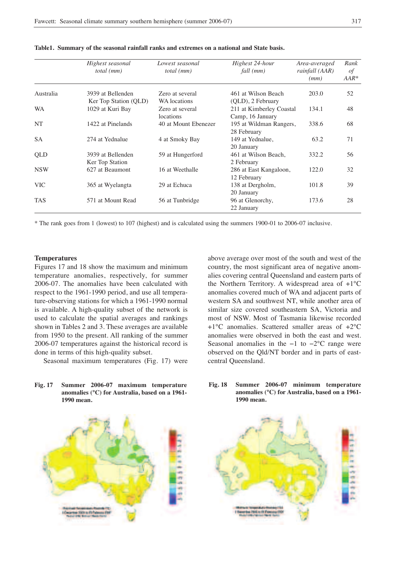|            | Highest seasonal<br>total (mm)            | Lowest seasonal<br><i>total</i> ( <i>mm</i> ) | Highest 24-hour<br>fall (mm)                                      | Area-averaged<br>rainfall (AAR)<br>(mm) | Rank<br>of<br>$AAR*$ |
|------------|-------------------------------------------|-----------------------------------------------|-------------------------------------------------------------------|-----------------------------------------|----------------------|
| Australia  | 3939 at Bellenden                         | Zero at several                               | 461 at Wilson Beach                                               | 203.0                                   | 52                   |
| <b>WA</b>  | Ker Top Station (QLD)<br>1029 at Kuri Bay | WA locations<br>Zero at several<br>locations  | (QLD), 2 February<br>211 at Kimberley Coastal<br>Camp, 16 January | 134.1                                   | 48                   |
| <b>NT</b>  | 1422 at Pinelands                         | 40 at Mount Ebenezer                          | 195 at Wildman Rangers,<br>28 February                            | 338.6                                   | 68                   |
| <b>SA</b>  | 274 at Yednalue                           | 4 at Smoky Bay                                | 149 at Yednalue.<br>20 January                                    | 63.2                                    | 71                   |
| <b>OLD</b> | 3939 at Bellenden<br>Ker Top Station      | 59 at Hungerford                              | 461 at Wilson Beach,<br>2 February                                | 332.2                                   | 56                   |
| <b>NSW</b> | 627 at Beaumont                           | 16 at Weethalle                               | 286 at East Kangaloon,<br>12 February                             | 122.0                                   | 32                   |
| <b>VIC</b> | 365 at Wyelangta                          | 29 at Echuca                                  | 138 at Dergholm,<br>20 January                                    | 101.8                                   | 39                   |
| <b>TAS</b> | 571 at Mount Read                         | 56 at Tunbridge                               | 96 at Glenorchy,<br>22 January                                    | 173.6                                   | 28                   |

**Table1. Summary of the seasonal rainfall ranks and extremes on a national and State basis.**

\* The rank goes from 1 (lowest) to 107 (highest) and is calculated using the summers 1900-01 to 2006-07 inclusive.

## **Temperatures**

Figures 17 and 18 show the maximum and minimum temperature anomalies, respectively, for summer 2006-07. The anomalies have been calculated with respect to the 1961-1990 period, and use all temperature-observing stations for which a 1961-1990 normal is available. A high-quality subset of the network is used to calculate the spatial averages and rankings shown in Tables 2 and 3. These averages are available from 1950 to the present. All ranking of the summer 2006-07 temperatures against the historical record is done in terms of this high-quality subset.

Seasonal maximum temperatures (Fig. 17) were

above average over most of the south and west of the country, the most significant area of negative anomalies covering central Queensland and eastern parts of the Northern Territory. A widespread area of +1°C anomalies covered much of WA and adjacent parts of western SA and southwest NT, while another area of similar size covered southeastern SA, Victoria and most of NSW. Most of Tasmania likewise recorded +1°C anomalies. Scattered smaller areas of +2°C anomalies were observed in both the east and west. Seasonal anomalies in the −1 to −2°C range were observed on the Qld/NT border and in parts of eastcentral Queensland.







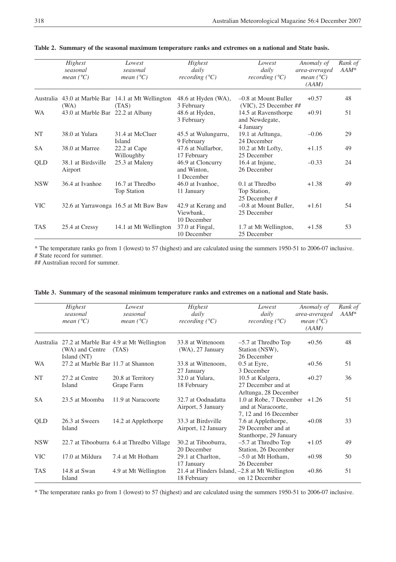|            | Highest<br>seasonal<br>mean $(^{\circ}C)$ | Lowest<br>seasonal<br>mean $(^{\circ}C)$           | Highest<br>daily<br>recording $(^{\circ}C)$    | Lowest<br>daily<br>recording $(^{\circ}C)$          | Anomaly of<br>area-averaged<br>mean $(^{\circ}C)$<br>(AAM) | Rank of<br>$AAM^*$ |
|------------|-------------------------------------------|----------------------------------------------------|------------------------------------------------|-----------------------------------------------------|------------------------------------------------------------|--------------------|
|            |                                           | Australia 43.0 at Marble Bar 14.1 at Mt Wellington | 48.6 at Hyden (WA),                            | $-0.8$ at Mount Buller                              | $+0.57$                                                    | 48                 |
|            | (WA)                                      | (TAS)                                              | 3 February                                     | $(VIC)$ , 25 December ##                            |                                                            |                    |
| <b>WA</b>  | 43.0 at Marble Bar 22.2 at Albany         |                                                    | 48.6 at Hyden,<br>3 February                   | 14.5 at Ravensthorpe<br>and Newdegate,<br>4 January | $+0.91$                                                    | 51                 |
| NT         | 38.0 at Yulara                            | 31.4 at McCluer<br>Island                          | 45.5 at Wulungurru,<br>9 February              | 19.1 at Arltunga,<br>24 December                    | $-0.06$                                                    | 29                 |
| <b>SA</b>  | 38.0 at Marree                            | 22.2 at Cape<br>Willoughby                         | 47.6 at Nullarbor,<br>17 February              | 10.2 at Mt Lofty,<br>25 December                    | $+1.15$                                                    | 49                 |
| QLD        | 38.1 at Birdsville<br>Airport             | 25.3 at Maleny                                     | 46.9 at Cloncurry<br>and Winton.<br>1 December | 16.4 at Injune,<br>26 December                      | $-0.33$                                                    | 24                 |
| <b>NSW</b> | 36.4 at Ivanhoe                           | 16.7 at Thredbo<br>Top Station                     | 46.0 at Ivanhoe,<br>11 January                 | $0.1$ at Thredbo<br>Top Station,<br>25 December #   | $+1.38$                                                    | 49                 |
| <b>VIC</b> |                                           | 32.6 at Yarrawonga 16.5 at Mt Baw Baw              | 42.9 at Kerang and<br>Viewbank.<br>10 December | $-0.8$ at Mount Buller,<br>25 December              | $+1.61$                                                    | 54                 |
| <b>TAS</b> | 25.4 at Cressy                            | 14.1 at Mt Wellington                              | 37.0 at Fingal,<br>10 December                 | 1.7 at Mt Wellington,<br>25 December                | $+1.58$                                                    | 53                 |

**Table 2. Summary of the seasonal maximum temperature ranks and extremes on a national and State basis.**

\* The temperature ranks go from 1 (lowest) to 57 (highest) and are calculated using the summers 1950-51 to 2006-07 inclusive. # State record for summer.

## Australian record for summer.

|            | Highest<br>seasonal<br>mean $(^{\circ}C)$ | Lowest<br>seasonal<br>mean $(^{\circ}C)$                   | Highest<br>daily<br>recording $(^{\circ}C)$                   | Lowest<br>daily<br>recording $(^{\circ}C)$                                   | Anomaly of<br>area-averaged<br>mean $(^{\circ}C)$<br>(AAM) | Rank of<br>$AAM^*$ |
|------------|-------------------------------------------|------------------------------------------------------------|---------------------------------------------------------------|------------------------------------------------------------------------------|------------------------------------------------------------|--------------------|
|            | (WA) and Centre<br>Island (NT)            | Australia 27.2 at Marble Bar 4.9 at Mt Wellington<br>(TAS) | 33.8 at Wittenoom<br>$(WA)$ , 27 January                      | $-5.7$ at Thredbo Top<br>Station (NSW),<br>26 December                       | $+0.56$                                                    | 48                 |
| <b>WA</b>  | 27.2 at Marble Bar 11.7 at Shannon        |                                                            | 33.8 at Wittenoom,<br>27 January                              | $0.5$ at Eyre,<br>3 December                                                 | $+0.56$                                                    | 51                 |
| NT         | 27.2 at Centre<br><b>Island</b>           | 20.8 at Territory<br>Grape Farm                            | 32.0 at Yulara,<br>18 February                                | 10.5 at Kulgera,<br>27 December and at<br>Arltunga, 28 December              | $+0.27$                                                    | 36                 |
| <b>SA</b>  | 23.5 at Moomba                            | 11.9 at Naracoorte                                         | 32.7 at Oodnadatta<br>Airport, 5 January                      | 1.0 at Robe, 7 December +1.26<br>and at Naracoorte,<br>7, 12 and 16 December |                                                            | 51                 |
| QLD        | 26.3 at Sweers<br><b>Island</b>           | 14.2 at Applethorpe                                        | 33.3 at Birdsville<br>Airport, 12 January                     | 7.6 at Applethorpe,<br>29 December and at<br>Stanthorpe, 29 January          | $+0.08$                                                    | 33                 |
| <b>NSW</b> |                                           | 22.7 at Tibooburra 6.4 at Thredbo Village                  | 30.2 at Tibooburra,<br>20 December                            | $-5.7$ at Thredbo Top<br>Station, 26 December                                | $+1.05$                                                    | 49                 |
| <b>VIC</b> | 17.0 at Mildura                           | 7.4 at Mt Hotham                                           | 29.1 at Charlton.<br>17 January                               | $-5.0$ at Mt Hotham.<br>26 December                                          | $+0.98$                                                    | 50                 |
| <b>TAS</b> | 14.8 at Swan<br>Island                    | 4.9 at Mt Wellington                                       | 21.4 at Flinders Island, -2.8 at Mt Wellington<br>18 February | on 12 December                                                               | $+0.86$                                                    | 51                 |

|  | Table 3. Summary of the seasonal minimum temperature ranks and extremes on a national and State basis. |  |  |  |  |
|--|--------------------------------------------------------------------------------------------------------|--|--|--|--|
|  |                                                                                                        |  |  |  |  |

\* The temperature ranks go from 1 (lowest) to 57 (highest) and are calculated using the summers 1950-51 to 2006-07 inclusive.